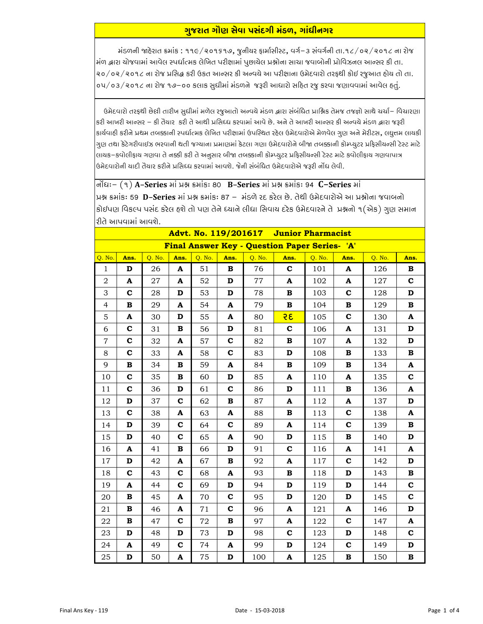## <u>ગુજરાત ગૌણ સેવા પસંદગી મંડળ, ગાંધીનગર</u>

મંડળની જાદેરાત ક્રમાંક : ૧૧૯/૨૦૧૬૧૭, જુનીચર ફાર્માસીસ્ટ, વર્ગ–૩ સંવર્ગની તા.૧૮/૦૨/૨૦૧૮ ના રોજ મંળ દ્વારા યોજવામાં આવેલ સ્પર્ધાત્મક લેખિત પરીક્ષામાં પુછાયેલ પ્રશ્નોના સાચા જવાબોની પ્રોવિઝનલ આન્સર કી તા. ૨૦/૦૨/૨૦૧૮ ના રોજ પ્રસિદ્ધ કરી ઉકત આન્સર કી અન્વયે આ પરીક્ષાના ઉમેદવારો તરફથી કોઈ રજુઆત હોય તો તા. ૦૫/૦૩/૨૦૧૮ ના રોજ ૧૭–૦૦ કલાક સુધીમાં મંડળને જરૂરી આધારો સહિત રજુ કરવા જણાવવામાં આવેલ હતું.

ઉમેદવારો તરફથી છેલી તારીખ સુધીમાં મળેલ રજુઆતો અન્વચે મંડળ દ્વારા સંબંધિત પ્રાશ્નિક તેમજ તજજ્ઞો સાથે ચર્ચા– વિચારણા કરી આખરી આન્સર – કી તૈયાર કરી તે આથી પ્રસિધ્ધ કરવામાં આવે છે. અને તે આખરી આન્સર કી અન્વયે મંડળ દ્વારા જરૂરી કાર્યવાહી કરીને પ્રથમ તબક્કાની સ્પર્ધાત્મક લેખિત પરીક્ષામાં ઉપસ્થિત રહેલ ઉમેદવારોએ મેળવેલ ગુણ અને મેરીટસ, લઘુત્તમ લાયકી ગુણ તથા કેટેગરીવાઈઝ ભરવાની થતી જગ્યાના પ્રમાણમાં કેટલા ગણા ઉમેદવારોને બીજા તબક્કાની કોમ્પ્યુટર પ્રફિસીચન્સી ટેસ્ટ માટે લાયક–કવોલીફાય ગણવા તે નક્કી કરી તે અનુસાર બીજા તબક્કાની કોમ્પ્યુટર પ્રફિસીયન્સી ટેસ્ટ માટે કવોલીફાય ગણવાપાત્ર ઉમેદવારોની યાદી તૈયાર કરીને પ્રસિધ્ધ કરવામાં આવશે. જેની સંબંધિત ઉમેદવારોએ જરૂરી નોંધ લેવી.

नोंधः –  $(9)$  A-Series भां प्रश्न इमांडः 80 B-Series भां प्रश्न इमांडः 94 C-Series भां પ્રશ્ન ક્રમાંકઃ 59 **D–Series** માં પ્રશ્ન ક્રમાંકઃ 87 – મંડળે રદ કરેલ છે. તેથી ઉમેદવારોએ આ પ્રશ્નોના જવાબનો કોઈપણ વિકલ્પ પસંદ કરેલ હશે તો પણ તેને ધ્યાને લીધા સિવાય દરેક ઉમેદવારને તે પ્રશ્નનો ૧(એક) ગુણ સમાન રીતે આપવામાં આવશે.

| Advt. No. 119/201617 Junior Pharmacist        |             |        |              |        |              |        |                           |        |              |        |                           |  |
|-----------------------------------------------|-------------|--------|--------------|--------|--------------|--------|---------------------------|--------|--------------|--------|---------------------------|--|
| Final Answer Key - Question Paper Series- 'A' |             |        |              |        |              |        |                           |        |              |        |                           |  |
| Q. No.                                        | Ans.        | Q. No. | Ans.         | Q. No. | Ans.         | Q. No. | Ans.                      | Q. No. | Ans.         | Q. No. | Ans.                      |  |
| $\mathbf{1}$                                  | D           | 26     | A            | 51     | $\bf{B}$     | 76     | $\mathbf c$               | 101    | A            | 126    | в                         |  |
| $\overline{2}$                                | A           | 27     | A            | 52     | D            | 77     | A                         | 102    | A            | 127    | $\mathbf c$               |  |
| 3                                             | $\mathbf c$ | 28     | D            | 53     | D            | 78     | В                         | 103    | $\mathbf c$  | 128    | D                         |  |
| $\overline{4}$                                | B           | 29     | A            | 54     | A            | 79     | В                         | 104    | $\, {\bf B}$ | 129    | $\, {\bf B}$              |  |
| 5                                             | A           | 30     | $\mathbf D$  | 55     | A            | 80     | 35                        | 105    | $\mathbf c$  | 130    | A                         |  |
| 6                                             | $\mathbf c$ | 31     | В            | 56     | D            | 81     | $\mathbf c$               | 106    | A            | 131    | D                         |  |
| $\overline{7}$                                | $\mathbf c$ | 32     | A            | 57     | $\mathbf c$  | 82     | В                         | 107    | A            | 132    | D                         |  |
| 8                                             | $\mathbf c$ | 33     | A            | 58     | $\mathbf c$  | 83     | D                         | 108    | В            | 133    | В                         |  |
| 9                                             | B           | 34     | В            | 59     | A            | 84     | B                         | 109    | $\, {\bf B}$ | 134    | A                         |  |
| 10                                            | $\mathbf c$ | 35     | B            | 60     | D            | 85     | A                         | 110    | A            | 135    | $\mathbf c$               |  |
| 11                                            | $\mathbf c$ | 36     | D            | 61     | $\mathbf c$  | 86     | D                         | 111    | $\, {\bf B}$ | 136    | $\boldsymbol{\mathsf{A}}$ |  |
| 12                                            | D           | 37     | $\mathbf c$  | 62     | B            | 87     | A                         | 112    | A            | 137    | D                         |  |
| 13                                            | $\mathbf c$ | 38     | A            | 63     | A            | 88     | B                         | 113    | $\mathbf c$  | 138    | A                         |  |
| 14                                            | $\mathbf D$ | 39     | $\mathbf c$  | 64     | $\mathbf c$  | 89     | A                         | 114    | $\mathbf c$  | 139    | $\, {\bf B}$              |  |
| 15                                            | D           | 40     | $\mathbf c$  | 65     | A            | 90     | D                         | 115    | $\, {\bf B}$ | 140    | D                         |  |
| 16                                            | A           | 41     | $\, {\bf B}$ | 66     | D            | 91     | $\mathbf c$               | 116    | A            | 141    | A                         |  |
| 17                                            | D           | 42     | A            | 67     | $\, {\bf B}$ | 92     | A                         | 117    | $\mathbf c$  | 142    | D                         |  |
| 18                                            | $\mathbf c$ | 43     | C            | 68     | A            | 93     | В                         | 118    | D            | 143    | $\, {\bf B}$              |  |
| 19                                            | A           | 44     | $\mathbf c$  | 69     | D            | 94     | D                         | 119    | $\mathbf D$  | 144    | $\mathbf c$               |  |
| 20                                            | В           | 45     | A            | 70     | $\mathbf c$  | 95     | D                         | 120    | $\mathbf D$  | 145    | $\mathbf c$               |  |
| 21                                            | В           | 46     | A            | 71     | $\mathbf c$  | 96     | A                         | 121    | A            | 146    | D                         |  |
| 22                                            | B           | 47     | C            | 72     | В            | 97     | A                         | 122    | $\mathbf c$  | 147    | A                         |  |
| 23                                            | D           | 48     | $\mathbf D$  | 73     | $\mathbf D$  | 98     | $\mathbf c$               | 123    | D            | 148    | $\mathbf c$               |  |
| 24                                            | A           | 49     | С            | 74     | A            | 99     | D                         | 124    | $\mathbf c$  | 149    | D                         |  |
| 25                                            | $\mathbf D$ | 50     | A            | 75     | D            | 100    | $\boldsymbol{\mathsf{A}}$ | 125    | $\, {\bf B}$ | 150    | $\, {\bf B}$              |  |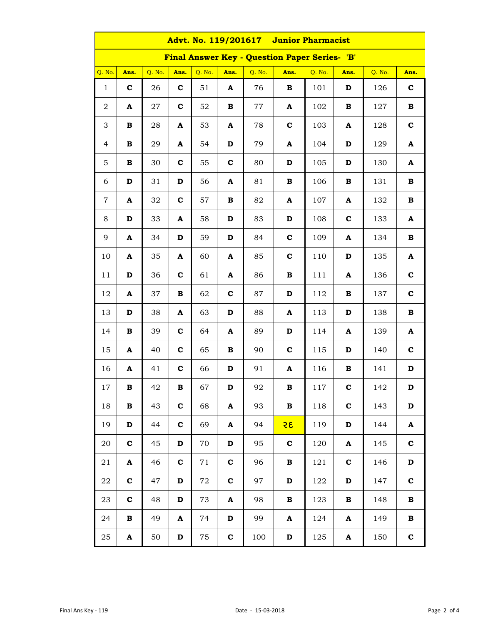| Advt. No. 119/201617 Junior Pharmacist        |                 |        |              |        |             |        |              |        |                           |        |              |  |  |
|-----------------------------------------------|-----------------|--------|--------------|--------|-------------|--------|--------------|--------|---------------------------|--------|--------------|--|--|
| Final Answer Key - Question Paper Series- 'B' |                 |        |              |        |             |        |              |        |                           |        |              |  |  |
| Q. No.                                        | Ans.            | Q. No. | Ans.         | Q. No. | Ans.        | Q. No. | Ans.         | Q. No. | Ans.                      | Q. No. | Ans.         |  |  |
| $\mathbf{1}$                                  | $\mathbf c$     | 26     | $\mathbf{C}$ | 51     | A           | 76     | В            | 101    | D                         | 126    | $\mathbf c$  |  |  |
| $\mathbf 2$                                   | A               | 27     | $\mathbf{C}$ | 52     | В           | 77     | A            | 102    | В                         | 127    | В            |  |  |
| 3                                             | $\, {\bf B} \,$ | 28     | A            | 53     | A           | 78     | $\mathbf c$  | 103    | A                         | 128    | $\mathbf c$  |  |  |
| 4                                             | $\, {\bf B} \,$ | 29     | A            | 54     | D           | 79     | A            | 104    | D                         | 129    | A            |  |  |
| 5                                             | $\, {\bf B} \,$ | 30     | $\mathbf c$  | 55     | $\mathbf c$ | 80     | $\mathbf D$  | 105    | $\mathbf D$               | 130    | A            |  |  |
| 6                                             | D               | 31     | D            | 56     | A           | 81     | В            | 106    | $\, {\bf B}$              | 131    | В            |  |  |
| $\overline{7}$                                | A               | 32     | $\mathbf{C}$ | 57     | В           | 82     | A            | 107    | A                         | 132    | В            |  |  |
| 8                                             | D               | 33     | A            | 58     | D           | 83     | $\mathbf D$  | 108    | $\mathbf c$               | 133    | A            |  |  |
| 9                                             | A               | 34     | D            | 59     | D           | 84     | $\mathbf c$  | 109    | A                         | 134    | $\, {\bf B}$ |  |  |
| 10                                            | A               | 35     | A            | 60     | A           | 85     | $\mathbf c$  | 110    | $\mathbf D$               | 135    | A            |  |  |
| 11                                            | D               | 36     | $\mathbf c$  | 61     | A           | 86     | $\, {\bf B}$ | 111    | A                         | 136    | $\mathbf c$  |  |  |
| 12                                            | A               | 37     | В            | 62     | $\mathbf c$ | 87     | $\mathbf D$  | 112    | В                         | 137    | $\mathbf c$  |  |  |
| 13                                            | D               | 38     | A            | 63     | D           | 88     | A            | 113    | D                         | 138    | $\, {\bf B}$ |  |  |
| 14                                            | В               | 39     | $\mathbf c$  | 64     | A           | 89     | D            | 114    | $\boldsymbol{\mathsf{A}}$ | 139    | A            |  |  |
| 15                                            | A               | 40     | $\mathbf{C}$ | 65     | В           | 90     | $\mathbf c$  | 115    | D                         | 140    | $\mathbf c$  |  |  |
| 16                                            | A               | 41     | $\mathbf c$  | 66     | D           | 91     | A            | 116    | $\, {\bf B}$              | 141    | D            |  |  |
| $17\,$                                        | в               | 42     | B            | 67     | $\mathbf D$ | 92     | B            | 117    | $\mathbf c$               | 142    | D            |  |  |
| 18                                            | $\, {\bf B} \,$ | 43     | $\mathbf{C}$ | 68     | A           | 93     | $\, {\bf B}$ | 118    | $\mathbf c$               | 143    | D            |  |  |
| 19                                            | D               | 44     | $\mathbf{C}$ | 69     | A           | 94     | 35           | 119    | D                         | 144    | A            |  |  |
| 20                                            | $\mathbf{C}$    | 45     | D            | 70     | D           | 95     | $\mathbf c$  | 120    | A                         | 145    | $\mathbf c$  |  |  |
| 21                                            | A               | 46     | $\mathbf{C}$ | 71     | $\mathbf c$ | 96     | $\, {\bf B}$ | 121    | $\mathbf c$               | 146    | D            |  |  |
| 22                                            | $\mathbf c$     | 47     | D            | 72     | $\mathbf c$ | 97     | D            | 122    | D                         | 147    | $\mathbf c$  |  |  |
| 23                                            | $\mathbf{C}$    | 48     | D            | 73     | A           | 98     | В            | 123    | В                         | 148    | $\, {\bf B}$ |  |  |
| 24                                            | в               | 49     | A            | 74     | D           | 99     | A            | 124    | $\boldsymbol{\mathsf{A}}$ | 149    | В            |  |  |
| $25\,$                                        | A               | 50     | D            | 75     | $\mathbf c$ | 100    | D            | 125    | A                         | 150    | $\mathbf c$  |  |  |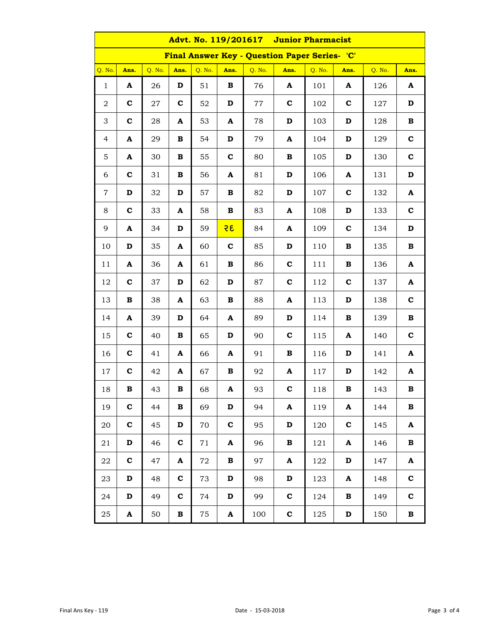| Advt. No. 119/201617 Junior Pharmacist        |             |        |             |        |                           |        |             |        |              |        |              |
|-----------------------------------------------|-------------|--------|-------------|--------|---------------------------|--------|-------------|--------|--------------|--------|--------------|
| Final Answer Key - Question Paper Series- 'C' |             |        |             |        |                           |        |             |        |              |        |              |
| Q. No.                                        | Ans.        | Q. No. | Ans.        | Q. No. | Ans.                      | Q. No. | Ans.        | Q. No. | Ans.         | Q. No. | Ans.         |
| $\mathbf{1}$                                  | A           | 26     | D           | 51     | $\, {\bf B}$              | 76     | A           | 101    | A            | 126    | A            |
| 2                                             | $\mathbf c$ | 27     | $\mathbf c$ | 52     | $\mathbf D$               | 77     | $\mathbf c$ | 102    | $\mathbf c$  | 127    | D            |
| 3                                             | $\mathbf c$ | 28     | A           | 53     | A                         | 78     | D           | 103    | D            | 128    | $\, {\bf B}$ |
| $\overline{4}$                                | A           | 29     | В           | 54     | D                         | 79     | A           | 104    | D            | 129    | $\mathbf c$  |
| 5                                             | A           | 30     | В           | 55     | $\mathbf c$               | 80     | В           | 105    | $\mathbf D$  | 130    | $\mathbf c$  |
| 6                                             | $\mathbf c$ | 31     | В           | 56     | $\boldsymbol{\mathsf{A}}$ | 81     | D           | 106    | A            | 131    | D            |
| $\overline{7}$                                | D           | 32     | D           | 57     | В                         | 82     | D           | 107    | $\mathbf c$  | 132    | A            |
| 8                                             | $\mathbf c$ | 33     | A           | 58     | В                         | 83     | A           | 108    | D            | 133    | $\mathbf c$  |
| 9                                             | A           | 34     | D           | 59     | 35                        | 84     | A           | 109    | $\mathbf C$  | 134    | $\mathbf D$  |
| 10                                            | D           | 35     | A           | 60     | $\mathbf c$               | 85     | D           | 110    | $\, {\bf B}$ | 135    | $\, {\bf B}$ |
| 11                                            | A           | 36     | A           | 61     | $\, {\bf B}$              | 86     | $\mathbf c$ | 111    | $\, {\bf B}$ | 136    | A            |
| 12                                            | $\mathbf c$ | 37     | D           | 62     | $\mathbf D$               | 87     | $\mathbf c$ | 112    | $\mathbf c$  | 137    | A            |
| 13                                            | В           | 38     | A           | 63     | В                         | 88     | A           | 113    | D            | 138    | $\mathbf c$  |
| 14                                            | A           | 39     | D           | 64     | A                         | 89     | D           | 114    | $\, {\bf B}$ | 139    | $\, {\bf B}$ |
| 15                                            | $\mathbf c$ | 40     | В           | 65     | $\mathbf D$               | 90     | $\mathbf c$ | 115    | A            | 140    | $\mathbf c$  |
| 16                                            | $\mathbf c$ | 41     | A           | 66     | A                         | 91     | В           | 116    | D            | 141    | A            |
| 17                                            | $\mathbf c$ | 42     | A           | 67     | В                         | 92     | A           | 117    | D            | 142    | A            |
| 18                                            | В           | 43     | В           | 68     | A                         | 93     | $\mathbf c$ | 118    | В            | 143    | в            |
| 19                                            | $\mathbf c$ | 44     | В           | 69     | $\mathbf D$               | 94     | A           | 119    | A            | 144    | $\, {\bf B}$ |
| 20                                            | $\mathbf c$ | 45     | D           | 70     | $\mathbf c$               | 95     | D           | 120    | $\mathbf c$  | 145    | A            |
| 21                                            | D           | 46     | $\mathbf c$ | 71     | A                         | 96     | В           | 121    | A            | 146    | $\, {\bf B}$ |
| 22                                            | $\mathbf c$ | 47     | A           | 72     | В                         | 97     | A           | 122    | D            | 147    | A            |
| 23                                            | D           | 48     | $\mathbf c$ | 73     | D                         | 98     | D           | 123    | A            | 148    | $\mathbf c$  |
| 24                                            | D           | 49     | $\mathbf c$ | 74     | D                         | 99     | $\mathbf c$ | 124    | $\, {\bf B}$ | 149    | $\mathbf c$  |
| 25                                            | A           | 50     | В           | 75     | A                         | 100    | $\mathbf c$ | 125    | D            | 150    | $\, {\bf B}$ |